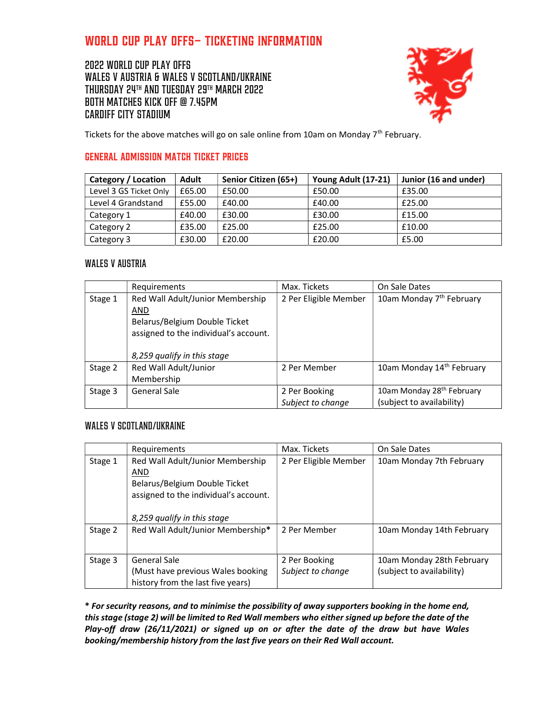# World Cup play offs– ticketing information

2022 World Cup play offs WALES v AUSTRIA & Wales v Scotland/Ukraine Thursday 24th and Tuesday 29th March 2022 Both matches Kick off @ 7.45pm Cardiff City Stadium



Tickets for the above matches will go on sale online from 10am on Monday  $7<sup>th</sup>$  February.

# General Admission MATCH Ticket Prices

| Category / Location    | Adult  | Senior Citizen (65+) | Young Adult (17-21) | Junior (16 and under) |
|------------------------|--------|----------------------|---------------------|-----------------------|
| Level 3 GS Ticket Only | £65.00 | £50.00               | £50.00              | £35.00                |
| Level 4 Grandstand     | £55.00 | £40.00               | £40.00              | £25.00                |
| Category 1             | £40.00 | £30.00               | £30.00              | £15.00                |
| Category 2             | £35.00 | £25.00               | £25.00              | £10.00                |
| Category 3             | £30.00 | £20.00               | £20.00              | £5.00                 |

# Wales v Austria

|         | Requirements                                                                                                      | Max. Tickets          | On Sale Dates                         |
|---------|-------------------------------------------------------------------------------------------------------------------|-----------------------|---------------------------------------|
| Stage 1 | Red Wall Adult/Junior Membership<br>AND<br>Belarus/Belgium Double Ticket<br>assigned to the individual's account. | 2 Per Eligible Member | 10am Monday 7 <sup>th</sup> February  |
|         | 8,259 qualify in this stage                                                                                       |                       |                                       |
| Stage 2 | Red Wall Adult/Junior<br>Membership                                                                               | 2 Per Member          | 10am Monday 14th February             |
| Stage 3 | General Sale                                                                                                      | 2 Per Booking         | 10am Monday 28 <sup>th</sup> February |
|         |                                                                                                                   | Subject to change     | (subject to availability)             |

# WALES V SCOTLAND/UKRAINE

|         | Requirements                                                                                                      | Max. Tickets          | On Sale Dates             |
|---------|-------------------------------------------------------------------------------------------------------------------|-----------------------|---------------------------|
| Stage 1 | Red Wall Adult/Junior Membership<br>AND<br>Belarus/Belgium Double Ticket<br>assigned to the individual's account. | 2 Per Eligible Member | 10am Monday 7th February  |
|         | 8,259 qualify in this stage                                                                                       |                       |                           |
| Stage 2 | Red Wall Adult/Junior Membership*                                                                                 | 2 Per Member          | 10am Monday 14th February |
| Stage 3 | General Sale                                                                                                      | 2 Per Booking         | 10am Monday 28th February |
|         | (Must have previous Wales booking<br>history from the last five years)                                            | Subject to change     | (subject to availability) |

\* For security reasons, and to minimise the possibility of away supporters booking in the home end, this stage (stage 2) will be limited to Red Wall members who either signed up before the date of the Play-off draw (26/11/2021) or signed up on or after the date of the draw but have Wales booking/membership history from the last five years on their Red Wall account.